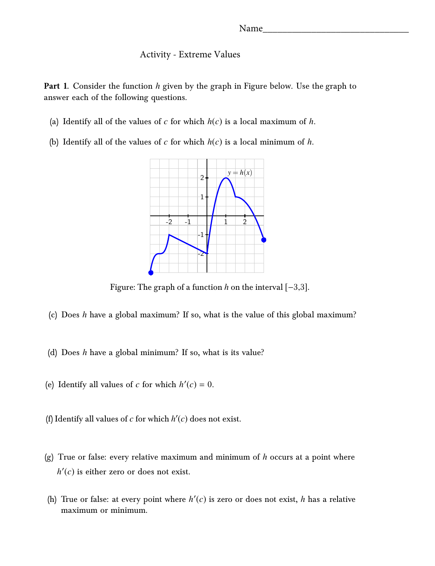## Activity - Extreme Values

**Part 1.** Consider the function *h* given by the graph in Figure below. Use the graph to answer each of the following questions.

- (a) Identify all of the values of  $c$  for which  $h(c)$  is a local maximum of  $h$ .
- (b) Identify all of the values of *c* for which *h*(*c*) is a local minimum of *h*.



Figure: The graph of <sup>a</sup> function *<sup>h</sup>* on the interval [−3,3].

- (c) Does *h* have a global maximum? If so, what is the value of this global maximum?
- (d) Does *h* have a global minimum? If so, what is its value?
- (e) Identify all values of *c* for which  $h'(c) = 0$ .
- (f) Identify all values of  $c$  for which  $h'(c)$  does not exist.
- (g) True or false: every relative maximum and minimum of *h* occurs at a point where  $h'(c)$  is either zero or does not exist.
- (h) True or false: at every point where  $h'(c)$  is zero or does not exist,  $h$  has a relative maximum or minimum.